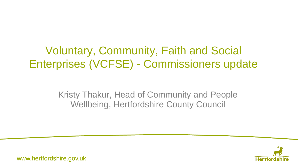# Voluntary, Community, Faith and Social Enterprises (VCFSE) - Commissioners update

Kristy Thakur, Head of Community and People Wellbeing, Hertfordshire County Council



www.hertfordshire.gov.uk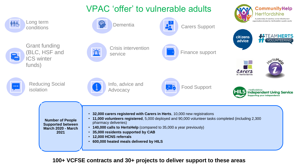#### VPAC 'offer' to vulnerable adults

**CommunityHelp** 



#### **100+ VCFSE contracts and 30+ projects to deliver support to these areas**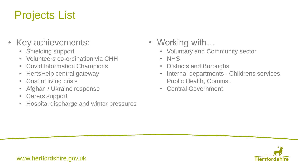### Projects List

- Key achievements:
	- Shielding support
	- Volunteers co-ordination via CHH
	- Covid Information Champions
	- HertsHelp central gateway
	- Cost of living crisis
	- Afghan / Ukraine response
	- Carers support
	- Hospital discharge and winter pressures
- Working with...
	- Voluntary and Community sector
	- NHS
	- Districts and Boroughs
	- Internal departments Childrens services, Public Health, Comms..
	- Central Government

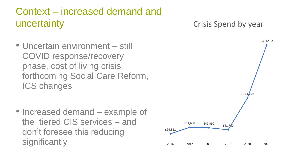#### Context – increased demand and uncertainty

#### Crisis Spend by year

- Uncertain environment still COVID response/recovery phase, cost of living crisis, forthcoming Social Care Reform, ICS changes
- Increased demand example of the tiered CIS services – and don't foresee this reducing significantly

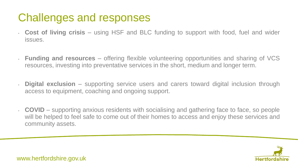### Challenges and responses

- **Cost of living crisis** using HSF and BLC funding to support with food, fuel and wider issues.
- **Funding and resources** offering flexible volunteering opportunities and sharing of VCS resources, investing into preventative services in the short, medium and longer term.
- **Digital exclusion** supporting service users and carers toward digital inclusion through access to equipment, coaching and ongoing support.
- **COVID** supporting anxious residents with socialising and gathering face to face, so people will be helped to feel safe to come out of their homes to access and enjoy these services and community assets.

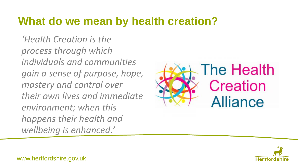#### **What do we mean by health creation?**

*'Health Creation is the process through which individuals and communities gain a sense of purpose, hope, mastery and control over their own lives and immediate environment; when this happens their health and wellbeing is enhanced.'*





www.hertfordshire.gov.uk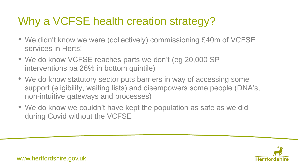# Why a VCFSE health creation strategy?

- We didn't know we were (collectively) commissioning £40m of VCFSE services in Herts!
- We do know VCFSE reaches parts we don't (eg 20,000 SP) interventions pa 26% in bottom quintile)
- We do know statutory sector puts barriers in way of accessing some support (eligibility, waiting lists) and disempowers some people (DNA's, non-intuitive gateways and processes)
- We do know we couldn't have kept the population as safe as we did during Covid without the VCFSE

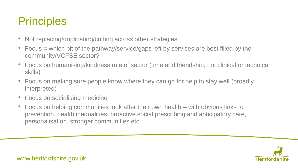# **Principles**

- Not replacing/duplicating/cutting across other strategies
- Focus = which bit of the pathway/service/gaps left by services are best filled by the community/VCFSE sector?
- Focus on humanising/kindness role of sector (time and friendship, not clinical or technical skills)
- Focus on making sure people know where they can go for help to stay well (broadly interpreted)
- Focus on socialising medicine
- Focus on helping communities look after their own health with obvious links to prevention, health inequalities, proactive social prescribing and anticipatory care, personalisation, stronger communities etc